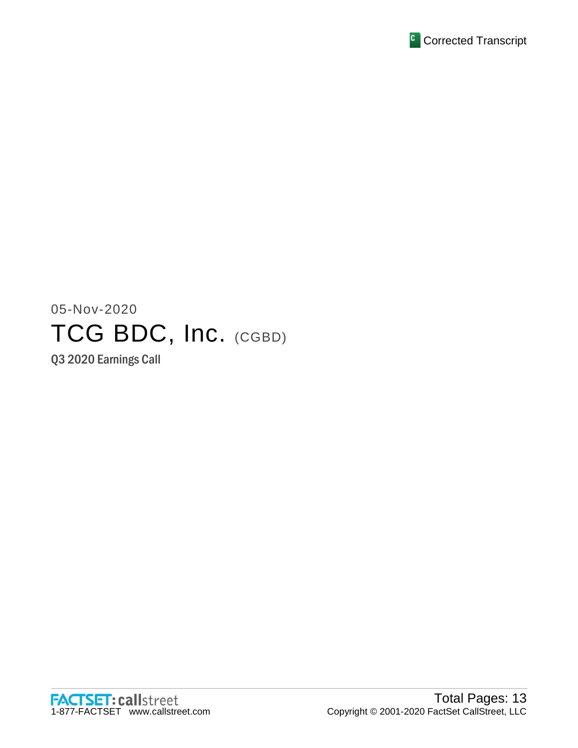

# 05-Nov-2020 TCG BDC, Inc. (CGBD)

Q3 2020 Earnings Call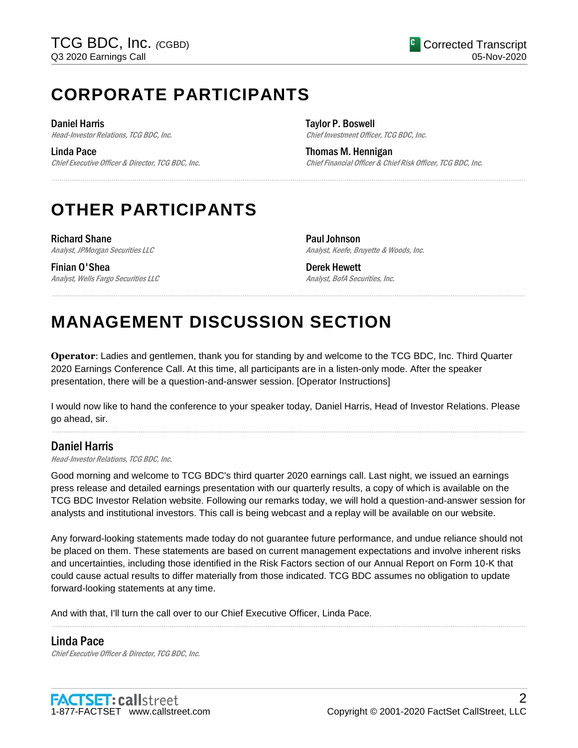# **CORPORATE PARTICIPANTS**

Daniel Harris

Head-Investor Relations, TCG BDC, Inc.

Linda Pace Chief Executive Officer & Director, TCG BDC, Inc. Taylor P. Boswell Chief Investment Officer, TCG BDC, Inc.

Thomas M. Hennigan Chief Financial Officer & Chief Risk Officer, TCG BDC, Inc.

# **OTHER PARTICIPANTS**

Richard Shane Analyst, JPMorgan Securities LLC

Finian O'Shea Analyst, Wells Fargo Securities LLC Paul Johnson Analyst, Keefe, Bruyette & Woods, Inc.

Derek Hewett Analyst, BofA Securities, Inc.

# **MANAGEMENT DISCUSSION SECTION**

**Operator**: Ladies and gentlemen, thank you for standing by and welcome to the TCG BDC, Inc. Third Quarter 2020 Earnings Conference Call. At this time, all participants are in a listen-only mode. After the speaker presentation, there will be a question-and-answer session. [Operator Instructions]

......................................................................................................................................................................................................................................................

......................................................................................................................................................................................................................................................

I would now like to hand the conference to your speaker today, Daniel Harris, Head of Investor Relations. Please go ahead, sir. ......................................................................................................................................................................................................................................................

# Daniel Harris

Head-Investor Relations, TCG BDC, Inc.

Good morning and welcome to TCG BDC's third quarter 2020 earnings call. Last night, we issued an earnings press release and detailed earnings presentation with our quarterly results, a copy of which is available on the TCG BDC Investor Relation website. Following our remarks today, we will hold a question-and-answer session for analysts and institutional investors. This call is being webcast and a replay will be available on our website.

Any forward-looking statements made today do not guarantee future performance, and undue reliance should not be placed on them. These statements are based on current management expectations and involve inherent risks and uncertainties, including those identified in the Risk Factors section of our Annual Report on Form 10-K that could cause actual results to differ materially from those indicated. TCG BDC assumes no obligation to update forward-looking statements at any time.

......................................................................................................................................................................................................................................................

And with that, I'll turn the call over to our Chief Executive Officer, Linda Pace.

## Linda Pace

Chief Executive Officer & Director, TCG BDC, Inc.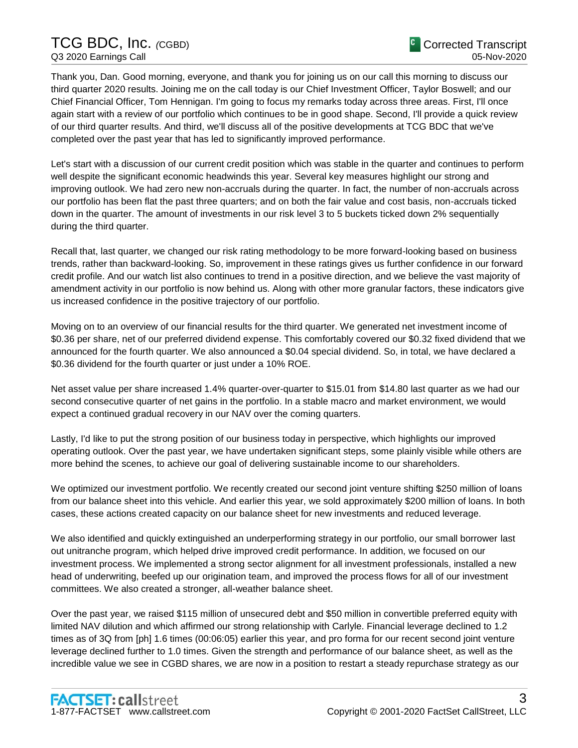# TCG BDC, Inc. *(*CGBD) Q3 2020 Earnings Call

Thank you, Dan. Good morning, everyone, and thank you for joining us on our call this morning to discuss our third quarter 2020 results. Joining me on the call today is our Chief Investment Officer, Taylor Boswell; and our Chief Financial Officer, Tom Hennigan. I'm going to focus my remarks today across three areas. First, I'll once again start with a review of our portfolio which continues to be in good shape. Second, I'll provide a quick review of our third quarter results. And third, we'll discuss all of the positive developments at TCG BDC that we've completed over the past year that has led to significantly improved performance.

Let's start with a discussion of our current credit position which was stable in the quarter and continues to perform well despite the significant economic headwinds this year. Several key measures highlight our strong and improving outlook. We had zero new non-accruals during the quarter. In fact, the number of non-accruals across our portfolio has been flat the past three quarters; and on both the fair value and cost basis, non-accruals ticked down in the quarter. The amount of investments in our risk level 3 to 5 buckets ticked down 2% sequentially during the third quarter.

Recall that, last quarter, we changed our risk rating methodology to be more forward-looking based on business trends, rather than backward-looking. So, improvement in these ratings gives us further confidence in our forward credit profile. And our watch list also continues to trend in a positive direction, and we believe the vast majority of amendment activity in our portfolio is now behind us. Along with other more granular factors, these indicators give us increased confidence in the positive trajectory of our portfolio.

Moving on to an overview of our financial results for the third quarter. We generated net investment income of \$0.36 per share, net of our preferred dividend expense. This comfortably covered our \$0.32 fixed dividend that we announced for the fourth quarter. We also announced a \$0.04 special dividend. So, in total, we have declared a \$0.36 dividend for the fourth quarter or just under a 10% ROE.

Net asset value per share increased 1.4% quarter-over-quarter to \$15.01 from \$14.80 last quarter as we had our second consecutive quarter of net gains in the portfolio. In a stable macro and market environment, we would expect a continued gradual recovery in our NAV over the coming quarters.

Lastly, I'd like to put the strong position of our business today in perspective, which highlights our improved operating outlook. Over the past year, we have undertaken significant steps, some plainly visible while others are more behind the scenes, to achieve our goal of delivering sustainable income to our shareholders.

We optimized our investment portfolio. We recently created our second joint venture shifting \$250 million of loans from our balance sheet into this vehicle. And earlier this year, we sold approximately \$200 million of loans. In both cases, these actions created capacity on our balance sheet for new investments and reduced leverage.

We also identified and quickly extinguished an underperforming strategy in our portfolio, our small borrower last out unitranche program, which helped drive improved credit performance. In addition, we focused on our investment process. We implemented a strong sector alignment for all investment professionals, installed a new head of underwriting, beefed up our origination team, and improved the process flows for all of our investment committees. We also created a stronger, all-weather balance sheet.

Over the past year, we raised \$115 million of unsecured debt and \$50 million in convertible preferred equity with limited NAV dilution and which affirmed our strong relationship with Carlyle. Financial leverage declined to 1.2 times as of 3Q from [ph] 1.6 times (00:06:05) earlier this year, and pro forma for our recent second joint venture leverage declined further to 1.0 times. Given the strength and performance of our balance sheet, as well as the incredible value we see in CGBD shares, we are now in a position to restart a steady repurchase strategy as our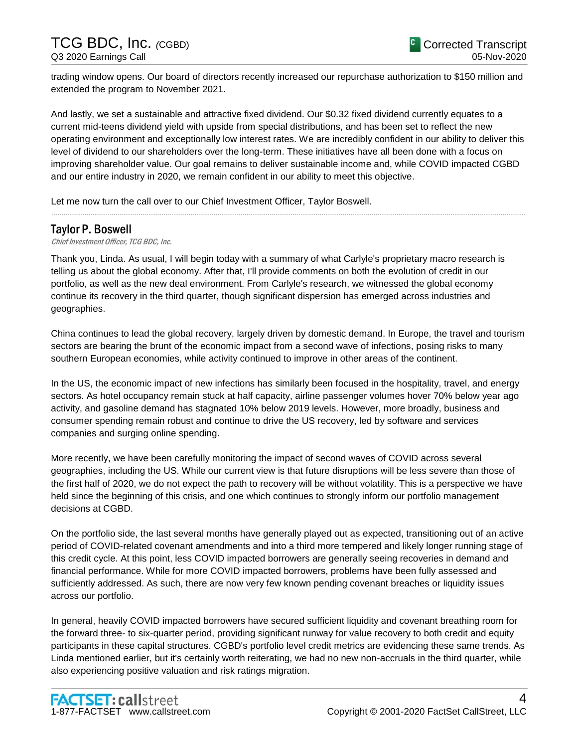trading window opens. Our board of directors recently increased our repurchase authorization to \$150 million and extended the program to November 2021.

And lastly, we set a sustainable and attractive fixed dividend. Our \$0.32 fixed dividend currently equates to a current mid-teens dividend yield with upside from special distributions, and has been set to reflect the new operating environment and exceptionally low interest rates. We are incredibly confident in our ability to deliver this level of dividend to our shareholders over the long-term. These initiatives have all been done with a focus on improving shareholder value. Our goal remains to deliver sustainable income and, while COVID impacted CGBD and our entire industry in 2020, we remain confident in our ability to meet this objective.

......................................................................................................................................................................................................................................................

Let me now turn the call over to our Chief Investment Officer, Taylor Boswell.

# Taylor P. Boswell

#### Chief Investment Officer, TCG BDC, Inc.

Thank you, Linda. As usual, I will begin today with a summary of what Carlyle's proprietary macro research is telling us about the global economy. After that, I'll provide comments on both the evolution of credit in our portfolio, as well as the new deal environment. From Carlyle's research, we witnessed the global economy continue its recovery in the third quarter, though significant dispersion has emerged across industries and geographies.

China continues to lead the global recovery, largely driven by domestic demand. In Europe, the travel and tourism sectors are bearing the brunt of the economic impact from a second wave of infections, posing risks to many southern European economies, while activity continued to improve in other areas of the continent.

In the US, the economic impact of new infections has similarly been focused in the hospitality, travel, and energy sectors. As hotel occupancy remain stuck at half capacity, airline passenger volumes hover 70% below year ago activity, and gasoline demand has stagnated 10% below 2019 levels. However, more broadly, business and consumer spending remain robust and continue to drive the US recovery, led by software and services companies and surging online spending.

More recently, we have been carefully monitoring the impact of second waves of COVID across several geographies, including the US. While our current view is that future disruptions will be less severe than those of the first half of 2020, we do not expect the path to recovery will be without volatility. This is a perspective we have held since the beginning of this crisis, and one which continues to strongly inform our portfolio management decisions at CGBD.

On the portfolio side, the last several months have generally played out as expected, transitioning out of an active period of COVID-related covenant amendments and into a third more tempered and likely longer running stage of this credit cycle. At this point, less COVID impacted borrowers are generally seeing recoveries in demand and financial performance. While for more COVID impacted borrowers, problems have been fully assessed and sufficiently addressed. As such, there are now very few known pending covenant breaches or liquidity issues across our portfolio.

In general, heavily COVID impacted borrowers have secured sufficient liquidity and covenant breathing room for the forward three- to six-quarter period, providing significant runway for value recovery to both credit and equity participants in these capital structures. CGBD's portfolio level credit metrics are evidencing these same trends. As Linda mentioned earlier, but it's certainly worth reiterating, we had no new non-accruals in the third quarter, while also experiencing positive valuation and risk ratings migration.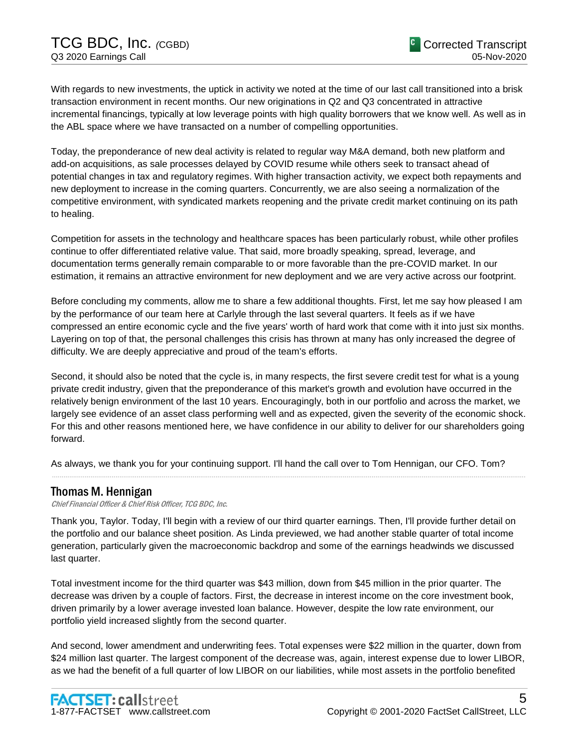With regards to new investments, the uptick in activity we noted at the time of our last call transitioned into a brisk transaction environment in recent months. Our new originations in Q2 and Q3 concentrated in attractive incremental financings, typically at low leverage points with high quality borrowers that we know well. As well as in the ABL space where we have transacted on a number of compelling opportunities.

Today, the preponderance of new deal activity is related to regular way M&A demand, both new platform and add-on acquisitions, as sale processes delayed by COVID resume while others seek to transact ahead of potential changes in tax and regulatory regimes. With higher transaction activity, we expect both repayments and new deployment to increase in the coming quarters. Concurrently, we are also seeing a normalization of the competitive environment, with syndicated markets reopening and the private credit market continuing on its path to healing.

Competition for assets in the technology and healthcare spaces has been particularly robust, while other profiles continue to offer differentiated relative value. That said, more broadly speaking, spread, leverage, and documentation terms generally remain comparable to or more favorable than the pre-COVID market. In our estimation, it remains an attractive environment for new deployment and we are very active across our footprint.

Before concluding my comments, allow me to share a few additional thoughts. First, let me say how pleased I am by the performance of our team here at Carlyle through the last several quarters. It feels as if we have compressed an entire economic cycle and the five years' worth of hard work that come with it into just six months. Layering on top of that, the personal challenges this crisis has thrown at many has only increased the degree of difficulty. We are deeply appreciative and proud of the team's efforts.

Second, it should also be noted that the cycle is, in many respects, the first severe credit test for what is a young private credit industry, given that the preponderance of this market's growth and evolution have occurred in the relatively benign environment of the last 10 years. Encouragingly, both in our portfolio and across the market, we largely see evidence of an asset class performing well and as expected, given the severity of the economic shock. For this and other reasons mentioned here, we have confidence in our ability to deliver for our shareholders going forward.

As always, we thank you for your continuing support. I'll hand the call over to Tom Hennigan, our CFO. Tom?

......................................................................................................................................................................................................................................................

## Thomas M. Hennigan

Chief Financial Officer & Chief Risk Officer, TCG BDC, Inc.

Thank you, Taylor. Today, I'll begin with a review of our third quarter earnings. Then, I'll provide further detail on the portfolio and our balance sheet position. As Linda previewed, we had another stable quarter of total income generation, particularly given the macroeconomic backdrop and some of the earnings headwinds we discussed last quarter.

Total investment income for the third quarter was \$43 million, down from \$45 million in the prior quarter. The decrease was driven by a couple of factors. First, the decrease in interest income on the core investment book, driven primarily by a lower average invested loan balance. However, despite the low rate environment, our portfolio yield increased slightly from the second quarter.

And second, lower amendment and underwriting fees. Total expenses were \$22 million in the quarter, down from \$24 million last quarter. The largest component of the decrease was, again, interest expense due to lower LIBOR, as we had the benefit of a full quarter of low LIBOR on our liabilities, while most assets in the portfolio benefited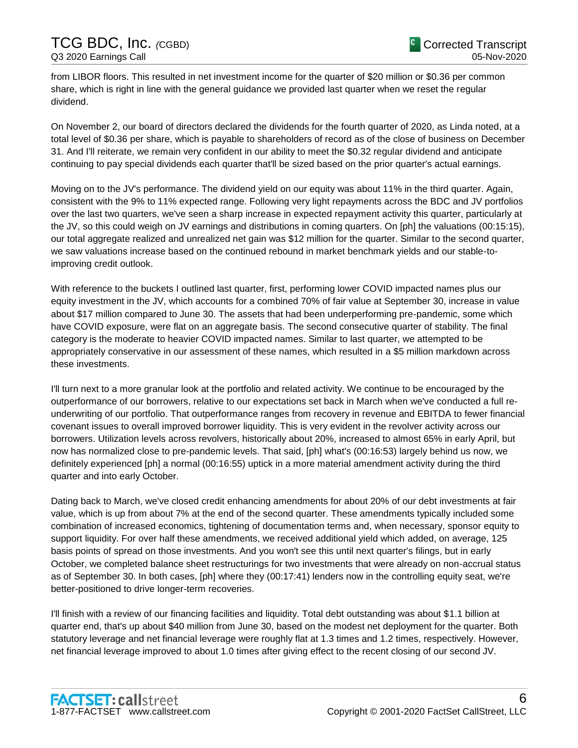from LIBOR floors. This resulted in net investment income for the quarter of \$20 million or \$0.36 per common share, which is right in line with the general guidance we provided last quarter when we reset the regular dividend.

On November 2, our board of directors declared the dividends for the fourth quarter of 2020, as Linda noted, at a total level of \$0.36 per share, which is payable to shareholders of record as of the close of business on December 31. And I'll reiterate, we remain very confident in our ability to meet the \$0.32 regular dividend and anticipate continuing to pay special dividends each quarter that'll be sized based on the prior quarter's actual earnings.

Moving on to the JV's performance. The dividend yield on our equity was about 11% in the third quarter. Again, consistent with the 9% to 11% expected range. Following very light repayments across the BDC and JV portfolios over the last two quarters, we've seen a sharp increase in expected repayment activity this quarter, particularly at the JV, so this could weigh on JV earnings and distributions in coming quarters. On [ph] the valuations (00:15:15), our total aggregate realized and unrealized net gain was \$12 million for the quarter. Similar to the second quarter, we saw valuations increase based on the continued rebound in market benchmark yields and our stable-toimproving credit outlook.

With reference to the buckets I outlined last quarter, first, performing lower COVID impacted names plus our equity investment in the JV, which accounts for a combined 70% of fair value at September 30, increase in value about \$17 million compared to June 30. The assets that had been underperforming pre-pandemic, some which have COVID exposure, were flat on an aggregate basis. The second consecutive quarter of stability. The final category is the moderate to heavier COVID impacted names. Similar to last quarter, we attempted to be appropriately conservative in our assessment of these names, which resulted in a \$5 million markdown across these investments.

I'll turn next to a more granular look at the portfolio and related activity. We continue to be encouraged by the outperformance of our borrowers, relative to our expectations set back in March when we've conducted a full reunderwriting of our portfolio. That outperformance ranges from recovery in revenue and EBITDA to fewer financial covenant issues to overall improved borrower liquidity. This is very evident in the revolver activity across our borrowers. Utilization levels across revolvers, historically about 20%, increased to almost 65% in early April, but now has normalized close to pre-pandemic levels. That said, [ph] what's (00:16:53) largely behind us now, we definitely experienced [ph] a normal (00:16:55) uptick in a more material amendment activity during the third quarter and into early October.

Dating back to March, we've closed credit enhancing amendments for about 20% of our debt investments at fair value, which is up from about 7% at the end of the second quarter. These amendments typically included some combination of increased economics, tightening of documentation terms and, when necessary, sponsor equity to support liquidity. For over half these amendments, we received additional yield which added, on average, 125 basis points of spread on those investments. And you won't see this until next quarter's filings, but in early October, we completed balance sheet restructurings for two investments that were already on non-accrual status as of September 30. In both cases, [ph] where they (00:17:41) lenders now in the controlling equity seat, we're better-positioned to drive longer-term recoveries.

I'll finish with a review of our financing facilities and liquidity. Total debt outstanding was about \$1.1 billion at quarter end, that's up about \$40 million from June 30, based on the modest net deployment for the quarter. Both statutory leverage and net financial leverage were roughly flat at 1.3 times and 1.2 times, respectively. However, net financial leverage improved to about 1.0 times after giving effect to the recent closing of our second JV.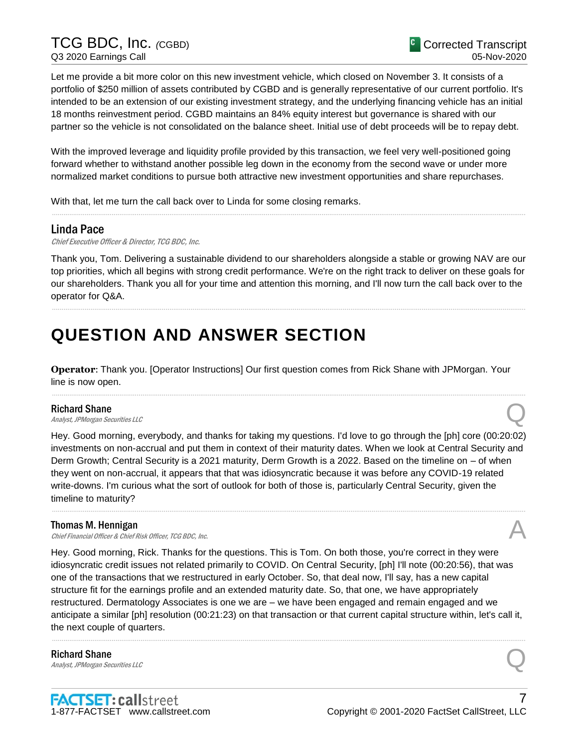TCG BDC, Inc. *(*CGBD) Q3 2020 Earnings Call

Let me provide a bit more color on this new investment vehicle, which closed on November 3. It consists of a portfolio of \$250 million of assets contributed by CGBD and is generally representative of our current portfolio. It's intended to be an extension of our existing investment strategy, and the underlying financing vehicle has an initial 18 months reinvestment period. CGBD maintains an 84% equity interest but governance is shared with our partner so the vehicle is not consolidated on the balance sheet. Initial use of debt proceeds will be to repay debt.

With the improved leverage and liquidity profile provided by this transaction, we feel very well-positioned going forward whether to withstand another possible leg down in the economy from the second wave or under more normalized market conditions to pursue both attractive new investment opportunities and share repurchases.

With that, let me turn the call back over to Linda for some closing remarks.

# Linda Pace

Chief Executive Officer & Director, TCG BDC, Inc.

Thank you, Tom. Delivering a sustainable dividend to our shareholders alongside a stable or growing NAV are our top priorities, which all begins with strong credit performance. We're on the right track to deliver on these goals for our shareholders. Thank you all for your time and attention this morning, and I'll now turn the call back over to the operator for Q&A.

......................................................................................................................................................................................................................................................

......................................................................................................................................................................................................................................................

# **QUESTION AND ANSWER SECTION**

**Operator**: Thank you. [Operator Instructions] Our first question comes from Rick Shane with JPMorgan. Your line is now open.

......................................................................................................................................................................................................................................................

Richard Shane<br>Analyst, JPMorgan Securities LLC **Richard Shane**<br>Analyst, JPMorgan Securities LLC

Hey. Good morning, everybody, and thanks for taking my questions. I'd love to go through the [ph] core (00:20:02) investments on non-accrual and put them in context of their maturity dates. When we look at Central Security and Derm Growth; Central Security is a 2021 maturity, Derm Growth is a 2022. Based on the timeline on – of when they went on non-accrual, it appears that that was idiosyncratic because it was before any COVID-19 related write-downs. I'm curious what the sort of outlook for both of those is, particularly Central Security, given the timeline to maturity?

......................................................................................................................................................................................................................................................

#### Thomas M. Hennigan

**Thomas M. Hennigan**<br>Chief Financial Officer & Chief Risk Officer, TCG BDC, Inc.  $\mathcal{L}$ 

Hey. Good morning, Rick. Thanks for the questions. This is Tom. On both those, you're correct in they were idiosyncratic credit issues not related primarily to COVID. On Central Security, [ph] I'll note (00:20:56), that was one of the transactions that we restructured in early October. So, that deal now, I'll say, has a new capital structure fit for the earnings profile and an extended maturity date. So, that one, we have appropriately restructured. Dermatology Associates is one we are – we have been engaged and remain engaged and we anticipate a similar [ph] resolution (00:21:23) on that transaction or that current capital structure within, let's call it, the next couple of quarters.

......................................................................................................................................................................................................................................................

Richard Shane **Richard Shane**<br>Analyst, JPMorgan Securities LLC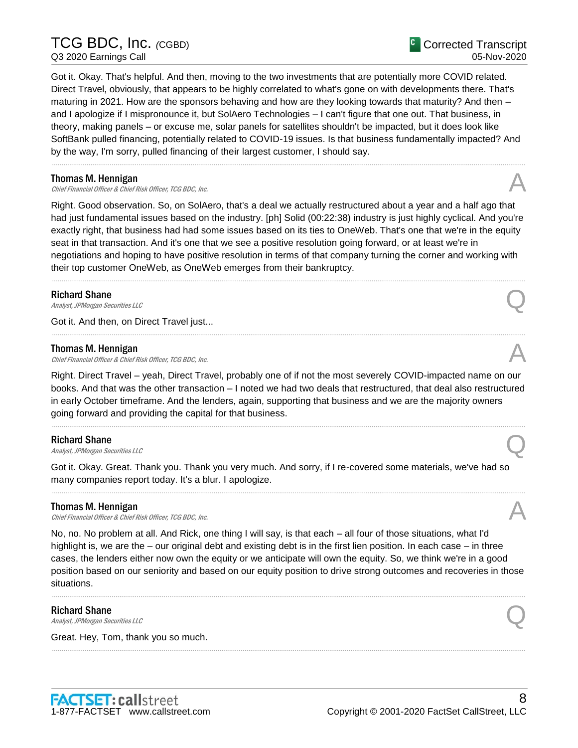# TCG BDC, Inc. *(*CGBD) Q3 2020 Earnings Call

Got it. Okay. That's helpful. And then, moving to the two investments that are potentially more COVID related. Direct Travel, obviously, that appears to be highly correlated to what's gone on with developments there. That's maturing in 2021. How are the sponsors behaving and how are they looking towards that maturity? And then – and I apologize if I mispronounce it, but SolAero Technologies – I can't figure that one out. That business, in theory, making panels – or excuse me, solar panels for satellites shouldn't be impacted, but it does look like SoftBank pulled financing, potentially related to COVID-19 issues. Is that business fundamentally impacted? And by the way, I'm sorry, pulled financing of their largest customer, I should say.

......................................................................................................................................................................................................................................................

#### Thomas M. Hennigan

**Thomas M. Hennigan**<br>Chief Financial Officer & Chief Risk Officer, TCG BDC, Inc.  $\sim$ 

Right. Good observation. So, on SolAero, that's a deal we actually restructured about a year and a half ago that had just fundamental issues based on the industry. [ph] Solid (00:22:38) industry is just highly cyclical. And you're exactly right, that business had had some issues based on its ties to OneWeb. That's one that we're in the equity seat in that transaction. And it's one that we see a positive resolution going forward, or at least we're in negotiations and hoping to have positive resolution in terms of that company turning the corner and working with their top customer OneWeb, as OneWeb emerges from their bankruptcy.

......................................................................................................................................................................................................................................................

......................................................................................................................................................................................................................................................

Richard Shane<br>Analyst, JPMorgan Securities LLC **Richard Shane**<br>Analyst, JPMorgan Securities LLC

Got it. And then, on Direct Travel just...

#### Thomas M. Hennigan

Chief Financial Officer & Chief Risk Officer, TCG BDC, Inc.

Right. Direct Travel – yeah, Direct Travel, probably one of if not the most severely COVID-impacted name on our books. And that was the other transaction – I noted we had two deals that restructured, that deal also restructured in early October timeframe. And the lenders, again, supporting that business and we are the majority owners going forward and providing the capital for that business.

......................................................................................................................................................................................................................................................

#### Richard Shane

**Richard Shane**<br>Analyst, JPMorgan Securities LLC

Got it. Okay. Great. Thank you. Thank you very much. And sorry, if I re-covered some materials, we've had so many companies report today. It's a blur. I apologize.

......................................................................................................................................................................................................................................................

#### Thomas M. Hennigan

**Thomas M. Hennigan**<br>Chief Financial Officer & Chief Risk Officer, TCG BDC, Inc.  $\sim$ 

No, no. No problem at all. And Rick, one thing I will say, is that each – all four of those situations, what I'd highlight is, we are the – our original debt and existing debt is in the first lien position. In each case – in three cases, the lenders either now own the equity or we anticipate will own the equity. So, we think we're in a good position based on our seniority and based on our equity position to drive strong outcomes and recoveries in those situations.

......................................................................................................................................................................................................................................................

......................................................................................................................................................................................................................................................

#### Richard Shane

**Richard Shane**<br>Analyst, JPMorgan Securities LLC

Great. Hey, Tom, thank you so much.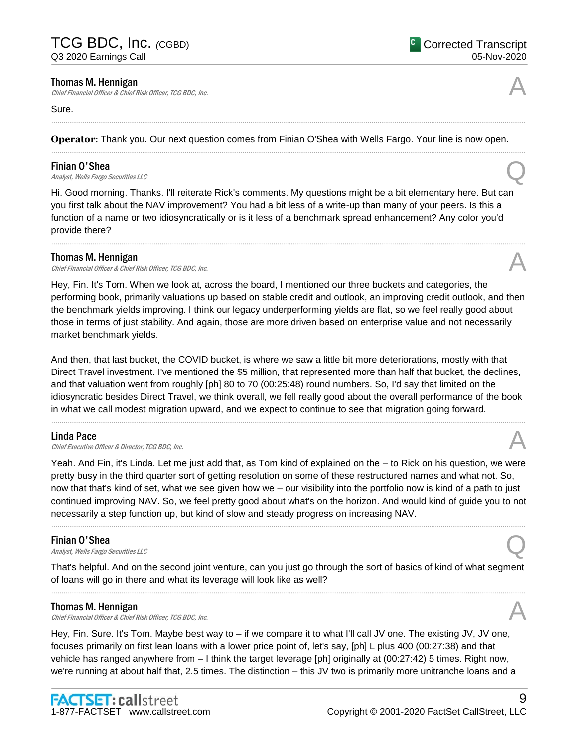#### Thomas M. Hennigan

Chief Financial Officer & Chief Risk Officer, TCG BDC, Inc.

#### Sure.

**Operator**: Thank you. Our next question comes from Finian O'Shea with Wells Fargo. Your line is now open.

......................................................................................................................................................................................................................................................

......................................................................................................................................................................................................................................................

#### Finian O'Shea

**Finian O'Shea**<br>Analyst, Wells Fargo Securities LLC

Hi. Good morning. Thanks. I'll reiterate Rick's comments. My questions might be a bit elementary here. But can you first talk about the NAV improvement? You had a bit less of a write-up than many of your peers. Is this a function of a name or two idiosyncratically or is it less of a benchmark spread enhancement? Any color you'd provide there?

......................................................................................................................................................................................................................................................

#### Thomas M. Hennigan

Chief Financial Officer & Chief Risk Officer, TCG BDC, Inc.

Hey, Fin. It's Tom. When we look at, across the board, I mentioned our three buckets and categories, the performing book, primarily valuations up based on stable credit and outlook, an improving credit outlook, and then the benchmark yields improving. I think our legacy underperforming yields are flat, so we feel really good about those in terms of just stability. And again, those are more driven based on enterprise value and not necessarily market benchmark yields.

And then, that last bucket, the COVID bucket, is where we saw a little bit more deteriorations, mostly with that Direct Travel investment. I've mentioned the \$5 million, that represented more than half that bucket, the declines, and that valuation went from roughly [ph] 80 to 70 (00:25:48) round numbers. So, I'd say that limited on the idiosyncratic besides Direct Travel, we think overall, we fell really good about the overall performance of the book in what we call modest migration upward, and we expect to continue to see that migration going forward.

......................................................................................................................................................................................................................................................

#### Linda Pace

Chief Executive Officer & Director, TCG BDC, Inc.

Yeah. And Fin, it's Linda. Let me just add that, as Tom kind of explained on the – to Rick on his question, we were pretty busy in the third quarter sort of getting resolution on some of these restructured names and what not. So, now that that's kind of set, what we see given how we – our visibility into the portfolio now is kind of a path to just continued improving NAV. So, we feel pretty good about what's on the horizon. And would kind of guide you to not necessarily a step function up, but kind of slow and steady progress on increasing NAV.

......................................................................................................................................................................................................................................................

#### Finian O'Shea

**Finian O'Shea**<br>Analyst, Wells Fargo Securities LLC

That's helpful. And on the second joint venture, can you just go through the sort of basics of kind of what segment of loans will go in there and what its leverage will look like as well? ......................................................................................................................................................................................................................................................

#### Thomas M. Hennigan

Chief Financial Officer & Chief Risk Officer, TCG BDC, Inc.

Hey, Fin. Sure. It's Tom. Maybe best way to – if we compare it to what I'll call JV one. The existing JV, JV one, focuses primarily on first lean loans with a lower price point of, let's say, [ph] L plus 400 (00:27:38) and that vehicle has ranged anywhere from – I think the target leverage [ph] originally at (00:27:42) 5 times. Right now, we're running at about half that, 2.5 times. The distinction – this JV two is primarily more unitranche loans and a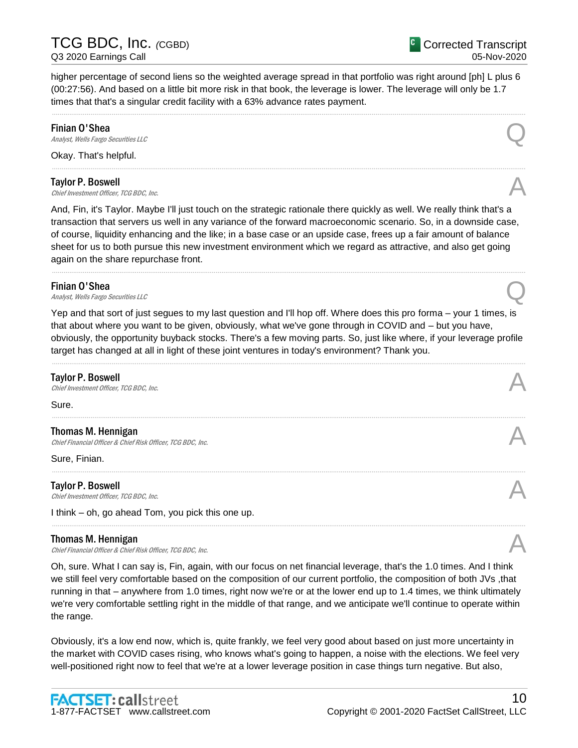higher percentage of second liens so the weighted average spread in that portfolio was right around [ph] L plus 6 (00:27:56). And based on a little bit more risk in that book, the leverage is lower. The leverage will only be 1.7 times that that's a singular credit facility with a 63% advance rates payment.

......................................................................................................................................................................................................................................................

......................................................................................................................................................................................................................................................

## Finian O'Shea

**Finian O'Shea**<br>Analyst, Wells Fargo Securities LLC

Okay. That's helpful.

## Taylor P. Boswell

**Taylor P. Boswell**<br>Chief Investment Officer, TCG BDC, Inc.  $\mathcal{A}$ 

And, Fin, it's Taylor. Maybe I'll just touch on the strategic rationale there quickly as well. We really think that's a transaction that servers us well in any variance of the forward macroeconomic scenario. So, in a downside case, of course, liquidity enhancing and the like; in a base case or an upside case, frees up a fair amount of balance sheet for us to both pursue this new investment environment which we regard as attractive, and also get going again on the share repurchase front.

......................................................................................................................................................................................................................................................

#### Finian O'Shea

**Finian O'Shea**<br>Analyst, Wells Fargo Securities LLC

Yep and that sort of just segues to my last question and I'll hop off. Where does this pro forma – your 1 times, is that about where you want to be given, obviously, what we've gone through in COVID and – but you have, obviously, the opportunity buyback stocks. There's a few moving parts. So, just like where, if your leverage profile target has changed at all in light of these joint ventures in today's environment? Thank you.

......................................................................................................................................................................................................................................................

......................................................................................................................................................................................................................................................

......................................................................................................................................................................................................................................................

......................................................................................................................................................................................................................................................

#### Taylor P. Boswell

**Taylor P. Boswell**<br>Chief Investment Officer, TCG BDC, Inc.  $\mathcal{A}$ 

Sure.

Thomas M. Hennigan Chief Financial Officer & Chief Risk Officer, TCG BDC, Inc.

Sure, Finian.

Taylor P. Boswell **Taylor P. Boswell**<br>Chief Investment Officer, TCG BDC, Inc.  $\mathcal{A}$ 

I think – oh, go ahead Tom, you pick this one up.

#### Thomas M. Hennigan

Chief Financial Officer & Chief Risk Officer, TCG BDC, Inc.

Oh, sure. What I can say is, Fin, again, with our focus on net financial leverage, that's the 1.0 times. And I think we still feel very comfortable based on the composition of our current portfolio, the composition of both JVs ,that running in that – anywhere from 1.0 times, right now we're or at the lower end up to 1.4 times, we think ultimately we're very comfortable settling right in the middle of that range, and we anticipate we'll continue to operate within the range.

Obviously, it's a low end now, which is, quite frankly, we feel very good about based on just more uncertainty in the market with COVID cases rising, who knows what's going to happen, a noise with the elections. We feel very well-positioned right now to feel that we're at a lower leverage position in case things turn negative. But also,





10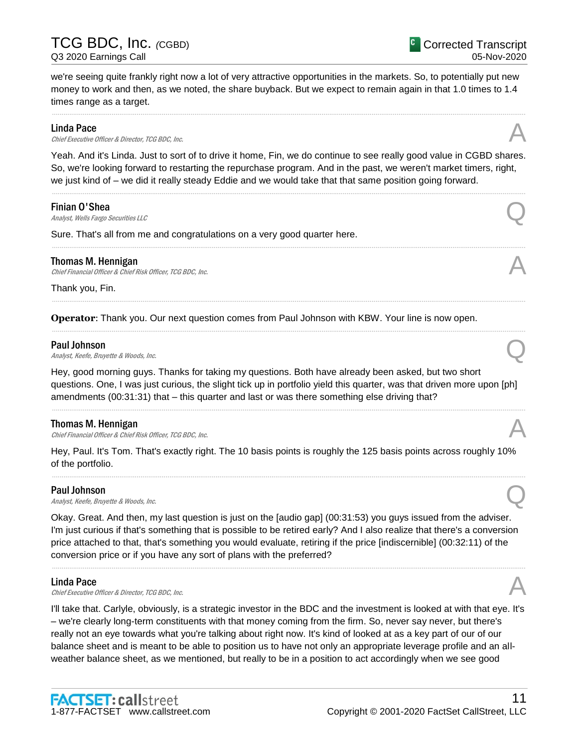we're seeing quite frankly right now a lot of very attractive opportunities in the markets. So, to potentially put new money to work and then, as we noted, the share buyback. But we expect to remain again in that 1.0 times to 1.4 times range as a target.

......................................................................................................................................................................................................................................................

#### Linda Pace

**Linda Pace**<br>Chief Executive Officer & Director, TCG BDC, Inc.

Yeah. And it's Linda. Just to sort of to drive it home, Fin, we do continue to see really good value in CGBD shares. So, we're looking forward to restarting the repurchase program. And in the past, we weren't market timers, right, we just kind of – we did it really steady Eddie and we would take that that same position going forward.

......................................................................................................................................................................................................................................................

......................................................................................................................................................................................................................................................

......................................................................................................................................................................................................................................................

......................................................................................................................................................................................................................................................

#### Finian O'Shea

**Finian O'Shea**<br>Analyst, Wells Fargo Securities LLC

Sure. That's all from me and congratulations on a very good quarter here.

#### Thomas M. Hennigan

**Thomas M. Hennigan**<br>Chief Financial Officer & Chief Risk Officer, TCG BDC, Inc.  $\sim$ 

Thank you, Fin.

**Operator**: Thank you. Our next question comes from Paul Johnson with KBW. Your line is now open.

#### Paul Johnson

**Paul Johnson**<br>Analyst, Keefe, Bruyette & Woods, Inc.

Hey, good morning guys. Thanks for taking my questions. Both have already been asked, but two short questions. One, I was just curious, the slight tick up in portfolio yield this quarter, was that driven more upon [ph] amendments (00:31:31) that – this quarter and last or was there something else driving that?

......................................................................................................................................................................................................................................................

#### Thomas M. Hennigan

Chief Financial Officer & Chief Risk Officer, TCG BDC, Inc. A

Hey, Paul. It's Tom. That's exactly right. The 10 basis points is roughly the 125 basis points across roughly 10% of the portfolio.

......................................................................................................................................................................................................................................................

#### Paul Johnson

**Paul Johnson**<br>Analyst, Keefe, Bruyette & Woods, Inc.

Okay. Great. And then, my last question is just on the [audio gap] (00:31:53) you guys issued from the adviser. I'm just curious if that's something that is possible to be retired early? And I also realize that there's a conversion price attached to that, that's something you would evaluate, retiring if the price [indiscernible] (00:32:11) of the conversion price or if you have any sort of plans with the preferred?

......................................................................................................................................................................................................................................................

#### Linda Pace

**Linda Pace**<br>Chief Executive Officer & Director, TCG BDC, Inc.

I'll take that. Carlyle, obviously, is a strategic investor in the BDC and the investment is looked at with that eye. It's – we're clearly long-term constituents with that money coming from the firm. So, never say never, but there's really not an eye towards what you're talking about right now. It's kind of looked at as a key part of our of our balance sheet and is meant to be able to position us to have not only an appropriate leverage profile and an allweather balance sheet, as we mentioned, but really to be in a position to act accordingly when we see good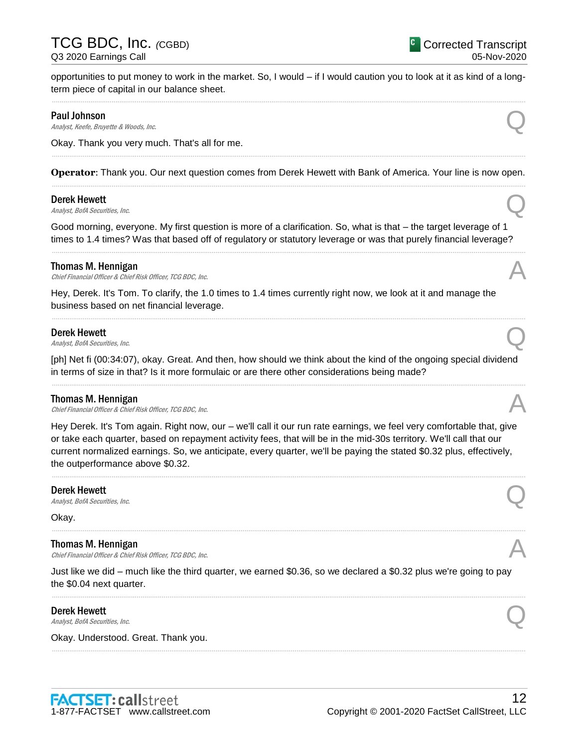opportunities to put money to work in the market. So, I would – if I would caution you to look at it as kind of a longterm piece of capital in our balance sheet. ......................................................................................................................................................................................................................................................

### Paul Johnson

**Paul Johnson**<br>Analyst, Keefe, Bruyette & Woods, Inc.

Okay. Thank you very much. That's all for me.

### ...................................................................................................................................................................................................................................................... **Operator**: Thank you. Our next question comes from Derek Hewett with Bank of America. Your line is now open. ......................................................................................................................................................................................................................................................

### Derek Hewett

**Derek Hewett**<br>Analyst, BofA Securities, Inc. Q

Good morning, everyone. My first question is more of a clarification. So, what is that – the target leverage of 1 times to 1.4 times? Was that based off of regulatory or statutory leverage or was that purely financial leverage?

......................................................................................................................................................................................................................................................

### Thomas M. Hennigan

Chief Financial Officer & Chief Risk Officer, TCG BDC, Inc.

Hey, Derek. It's Tom. To clarify, the 1.0 times to 1.4 times currently right now, we look at it and manage the business based on net financial leverage.

**Derek Hewett**<br>Analyst, BofA Securities, Inc. **Derek Hewett**<br>Analyst, BofA Securities, Inc. Q

[ph] Net fi (00:34:07), okay. Great. And then, how should we think about the kind of the ongoing special dividend in terms of size in that? Is it more formulaic or are there other considerations being made? ......................................................................................................................................................................................................................................................

......................................................................................................................................................................................................................................................

#### Thomas M. Hennigan

Chief Financial Officer & Chief Risk Officer, TCG BDC, Inc.

Hey Derek. It's Tom again. Right now, our – we'll call it our run rate earnings, we feel very comfortable that, give or take each quarter, based on repayment activity fees, that will be in the mid-30s territory. We'll call that our current normalized earnings. So, we anticipate, every quarter, we'll be paying the stated \$0.32 plus, effectively, the outperformance above \$0.32.

......................................................................................................................................................................................................................................................

#### Derek Hewett

**Derek Hewett**<br>Analyst, BofA Securities, Inc. Q

Okay.

#### Thomas M. Hennigan

Chief Financial Officer & Chief Risk Officer, TCG BDC, Inc.

Just like we did – much like the third quarter, we earned \$0.36, so we declared a \$0.32 plus we're going to pay the \$0.04 next quarter.

......................................................................................................................................................................................................................................................

......................................................................................................................................................................................................................................................

**Derek Hewett**<br>Analyst, BofA Securities, Inc. **Derek Hewett**<br>Analyst, BofA Securities, Inc. Q

Okay. Understood. Great. Thank you.